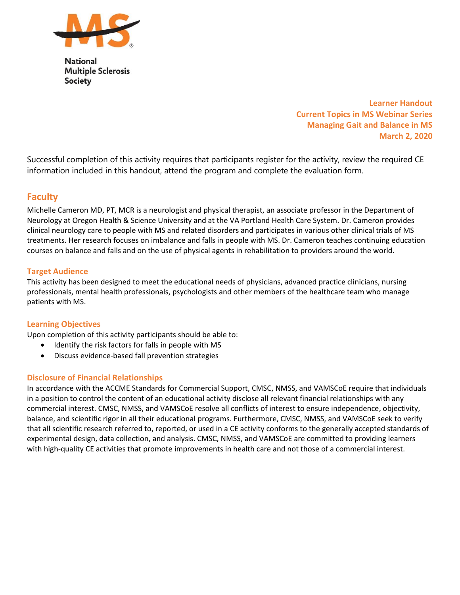

**National Multiple Sclerosis Society** 

> Learner Handout Current Topics in MS Webinar Series Managing Gait and Balance in MS March 2, 2020

Successful completion of this activity requires that participants register for the activity, review the required CE information included in this handout, attend the program and complete the evaluation form.

# **Faculty**

Michelle Cameron MD, PT, MCR is a neurologist and physical therapist, an associate professor in the Department of Neurology at Oregon Health & Science University and at the VA Portland Health Care System. Dr. Cameron provides clinical neurology care to people with MS and related disorders and participates in various other clinical trials of MS treatments. Her research focuses on imbalance and falls in people with MS. Dr. Cameron teaches continuing education courses on balance and falls and on the use of physical agents in rehabilitation to providers around the world.

### Target Audience

This activity has been designed to meet the educational needs of physicians, advanced practice clinicians, nursing professionals, mental health professionals, psychologists and other members of the healthcare team who manage patients with MS.

# Learning Objectives

Upon completion of this activity participants should be able to:

- Identify the risk factors for falls in people with MS
- Discuss evidence-based fall prevention strategies

# Disclosure of Financial Relationships

In accordance with the ACCME Standards for Commercial Support, CMSC, NMSS, and VAMSCoE require that individuals in a position to control the content of an educational activity disclose all relevant financial relationships with any commercial interest. CMSC, NMSS, and VAMSCoE resolve all conflicts of interest to ensure independence, objectivity, balance, and scientific rigor in all their educational programs. Furthermore, CMSC, NMSS, and VAMSCoE seek to verify that all scientific research referred to, reported, or used in a CE activity conforms to the generally accepted standards of experimental design, data collection, and analysis. CMSC, NMSS, and VAMSCoE are committed to providing learners with high-quality CE activities that promote improvements in health care and not those of a commercial interest.